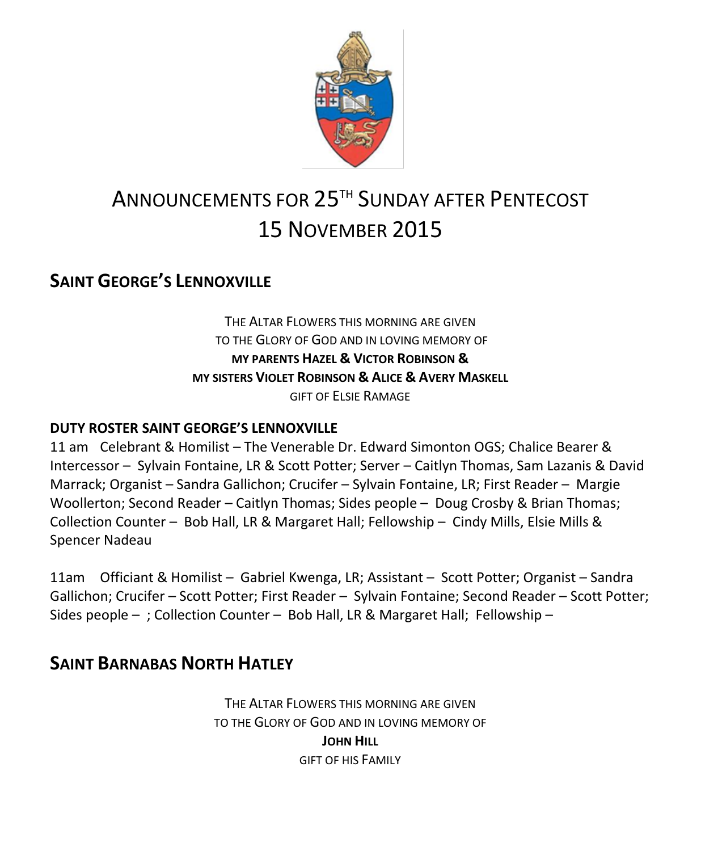

# ANNOUNCEMENTS FOR 25TH SUNDAY AFTER PENTECOST 15 NOVEMBER 2015

## **SAINT GEORGE'S LENNOXVILLE**

THE ALTAR FLOWERS THIS MORNING ARE GIVEN TO THE GLORY OF GOD AND IN LOVING MEMORY OF **MY PARENTS HAZEL & VICTOR ROBINSON & MY SISTERS VIOLET ROBINSON & ALICE & AVERY MASKELL** GIFT OF ELSIE RAMAGE

#### **DUTY ROSTER SAINT GEORGE'S LENNOXVILLE**

11 am Celebrant & Homilist – The Venerable Dr. Edward Simonton OGS; Chalice Bearer & Intercessor – Sylvain Fontaine, LR & Scott Potter; Server – Caitlyn Thomas, Sam Lazanis & David Marrack; Organist – Sandra Gallichon; Crucifer – Sylvain Fontaine, LR; First Reader – Margie Woollerton; Second Reader – Caitlyn Thomas; Sides people – Doug Crosby & Brian Thomas; Collection Counter – Bob Hall, LR & Margaret Hall; Fellowship – Cindy Mills, Elsie Mills & Spencer Nadeau

11am Officiant & Homilist – Gabriel Kwenga, LR; Assistant – Scott Potter; Organist – Sandra Gallichon; Crucifer – Scott Potter; First Reader – Sylvain Fontaine; Second Reader – Scott Potter; Sides people – ; Collection Counter – Bob Hall, LR & Margaret Hall; Fellowship –

### **SAINT BARNABAS NORTH HATLEY**

THE ALTAR FLOWERS THIS MORNING ARE GIVEN TO THE GLORY OF GOD AND IN LOVING MEMORY OF **JOHN HILL** GIFT OF HIS FAMILY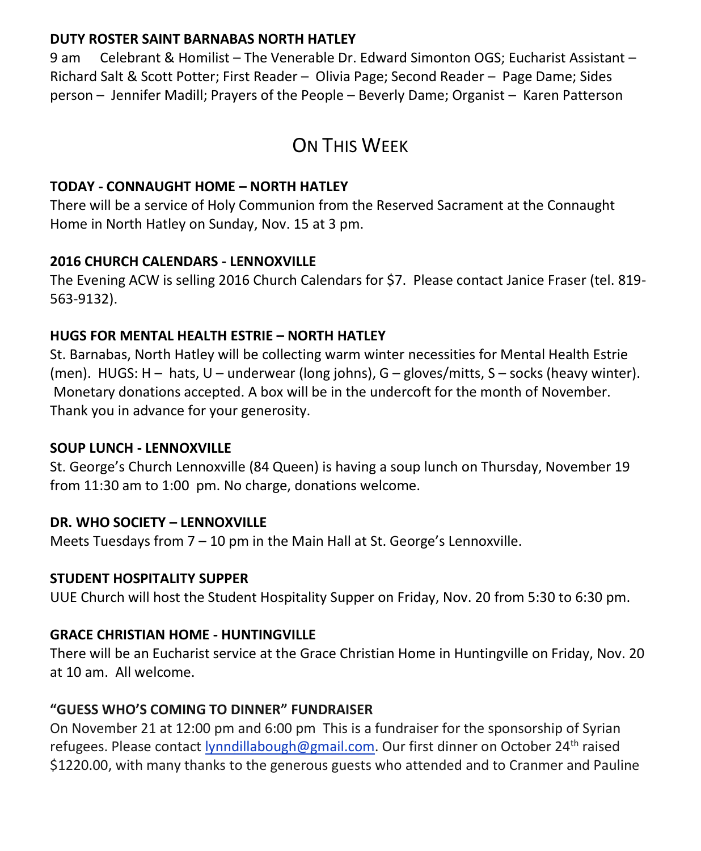#### **DUTY ROSTER SAINT BARNABAS NORTH HATLEY**

9 am Celebrant & Homilist – The Venerable Dr. Edward Simonton OGS; Eucharist Assistant – Richard Salt & Scott Potter; First Reader – Olivia Page; Second Reader – Page Dame; Sides person – Jennifer Madill; Prayers of the People – Beverly Dame; Organist – Karen Patterson

# ON THIS WEEK

#### **TODAY - CONNAUGHT HOME – NORTH HATLEY**

There will be a service of Holy Communion from the Reserved Sacrament at the Connaught Home in North Hatley on Sunday, Nov. 15 at 3 pm.

#### **2016 CHURCH CALENDARS - LENNOXVILLE**

The Evening ACW is selling 2016 Church Calendars for \$7. Please contact Janice Fraser (tel. 819- 563-9132).

#### **HUGS FOR MENTAL HEALTH ESTRIE – NORTH HATLEY**

St. Barnabas, North Hatley will be collecting warm winter necessities for Mental Health Estrie (men). HUGS: H – hats, U – underwear (long johns), G – gloves/mitts, S – socks (heavy winter). Monetary donations accepted. A box will be in the undercoft for the month of November. Thank you in advance for your generosity.

#### **SOUP LUNCH - LENNOXVILLE**

St. George's Church Lennoxville (84 Queen) is having a soup lunch on Thursday, November 19 from 11:30 am to 1:00 pm. No charge, donations welcome.

#### **DR. WHO SOCIETY – LENNOXVILLE**

Meets Tuesdays from 7 – 10 pm in the Main Hall at St. George's Lennoxville.

#### **STUDENT HOSPITALITY SUPPER**

UUE Church will host the Student Hospitality Supper on Friday, Nov. 20 from 5:30 to 6:30 pm.

#### **GRACE CHRISTIAN HOME - HUNTINGVILLE**

There will be an Eucharist service at the Grace Christian Home in Huntingville on Friday, Nov. 20 at 10 am. All welcome.

#### **"GUESS WHO'S COMING TO DINNER" FUNDRAISER**

On November 21 at 12:00 pm and 6:00 pm This is a fundraiser for the sponsorship of Syrian refugees. Please contact [lynndillabough@gmail.com.](https://webmail.ubishops.ca/owa/redir.aspx?SURL=kGABELk9nKs2mKcuSuzgy8ibAkS4td-wEMZhiAQOWhmklHI-b-vSCG0AYQBpAGwAdABvADoAbAB5AG4AbgBkAGkAbABsAGEAYgBvAHUAZwBoAEAAZwBtAGEAaQBsAC4AYwBvAG0A&URL=mailto%3alynndillabough%40gmail.com) Our first dinner on October 24<sup>th</sup> raised \$1220.00, with many thanks to the generous guests who attended and to Cranmer and Pauline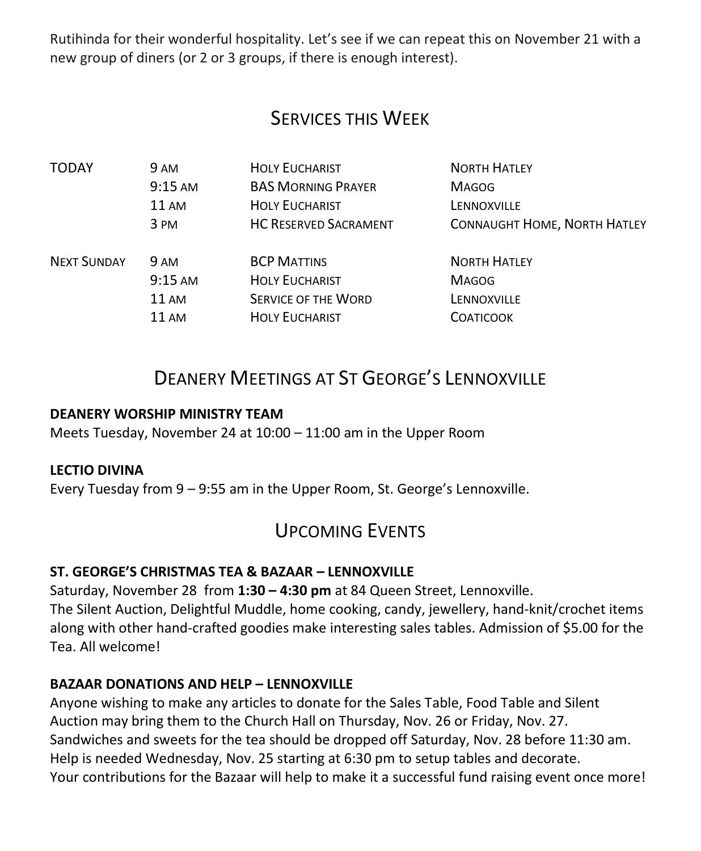Rutihinda for their wonderful hospitality. Let's see if we can repeat this on November 21 with a new group of diners (or 2 or 3 groups, if there is enough interest).

# SERVICES THIS WEEK

| TODAY              | 9 AM              | <b>HOLY EUCHARIST</b>        | <b>NORTH HATLEY</b>                 |
|--------------------|-------------------|------------------------------|-------------------------------------|
|                    | $9:15$ AM         | <b>BAS MORNING PRAYER</b>    | <b>MAGOG</b>                        |
|                    | $11 \text{ AM}$   | <b>HOLY EUCHARIST</b>        | LENNOXVILLE                         |
|                    | 3 PM              | <b>HC RESERVED SACRAMENT</b> | <b>CONNAUGHT HOME, NORTH HATLEY</b> |
| <b>NEXT SUNDAY</b> | <b>9 AM</b>       | <b>BCP MATTINS</b>           | <b>NORTH HATLEY</b>                 |
|                    | $9:15 \text{ AM}$ | <b>HOLY EUCHARIST</b>        | <b>MAGOG</b>                        |
|                    | 11 AM             | <b>SERVICE OF THE WORD</b>   | LENNOXVILLE                         |
|                    | $11 \text{ AM}$   | <b>HOLY EUCHARIST</b>        | <b>COATICOOK</b>                    |

# DEANERY MEETINGS AT ST GEORGE'S LENNOXVILLE

#### **DEANERY WORSHIP MINISTRY TEAM**

Meets Tuesday, November 24 at 10:00 – 11:00 am in the Upper Room

#### **LECTIO DIVINA**

Every Tuesday from 9 – 9:55 am in the Upper Room, St. George's Lennoxville.

### UPCOMING EVENTS

#### **ST. GEORGE'S CHRISTMAS TEA & BAZAAR – LENNOXVILLE**

Saturday, November 28 from **1:30 – 4:30 pm** at 84 Queen Street, Lennoxville. The Silent Auction, Delightful Muddle, home cooking, candy, jewellery, hand-knit/crochet items along with other hand-crafted goodies make interesting sales tables. Admission of \$5.00 for the Tea. All welcome!

#### **BAZAAR DONATIONS AND HELP – LENNOXVILLE**

Anyone wishing to make any articles to donate for the Sales Table, Food Table and Silent Auction may bring them to the Church Hall on Thursday, Nov. 26 or Friday, Nov. 27. Sandwiches and sweets for the tea should be dropped off Saturday, Nov. 28 before 11:30 am. Help is needed Wednesday, Nov. 25 starting at 6:30 pm to setup tables and decorate. Your contributions for the Bazaar will help to make it a successful fund raising event once more!